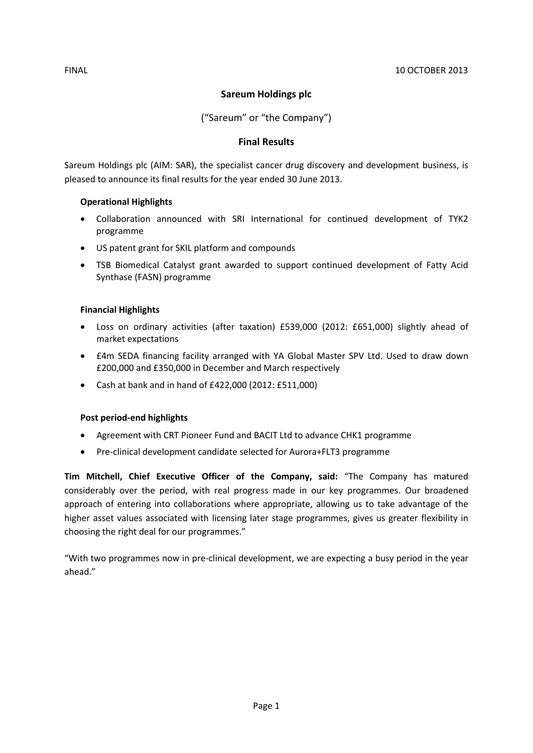## **Sareum Holdings plc**

("Sareum" or "the Company")

## **Final Results**

Sareum Holdings plc (AIM: SAR), the specialist cancer drug discovery and development business, is pleased to announce its final results for the year ended 30 June 2013.

### **Operational Highlights**

- Collaboration announced with SRI International for continued development of TYK2 programme
- US patent grant for SKIL platform and compounds
- TSB Biomedical Catalyst grant awarded to support continued development of Fatty Acid Synthase (FASN) programme

## **Financial Highlights**

- Loss on ordinary activities (after taxation) £539,000 (2012: £651,000) slightly ahead of market expectations
- £4m SEDA financing facility arranged with YA Global Master SPV Ltd. Used to draw down £200,000 and £350,000 in December and March respectively
- Cash at bank and in hand of £422,000 (2012: £511,000)

## **Post period-end highlights**

- Agreement with CRT Pioneer Fund and BACIT Ltd to advance CHK1 programme
- Pre-clinical development candidate selected for Aurora+FLT3 programme

**Tim Mitchell, Chief Executive Officer of the Company, said:** "The Company has matured considerably over the period, with real progress made in our key programmes. Our broadened approach of entering into collaborations where appropriate, allowing us to take advantage of the higher asset values associated with licensing later stage programmes, gives us greater flexibility in choosing the right deal for our programmes."

"With two programmes now in pre-clinical development, we are expecting a busy period in the year ahead."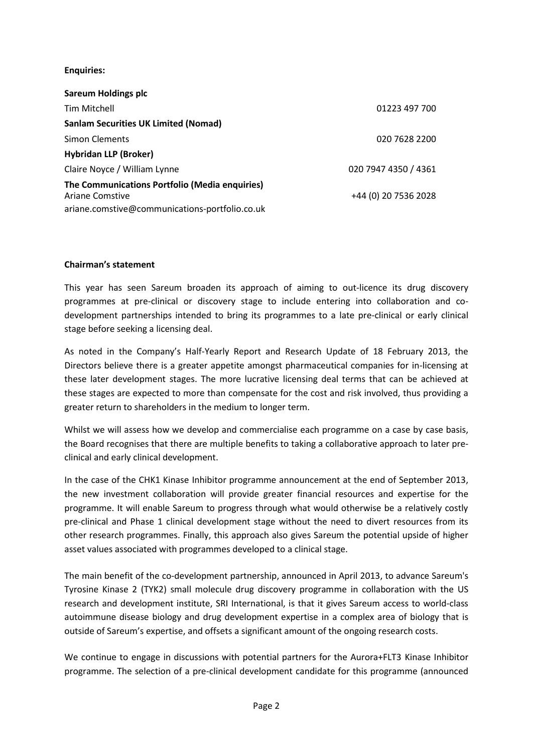### **Enquiries:**

| <b>Sareum Holdings plc</b>                                               |                      |
|--------------------------------------------------------------------------|----------------------|
| Tim Mitchell                                                             | 01223 497 700        |
| <b>Sanlam Securities UK Limited (Nomad)</b>                              |                      |
| <b>Simon Clements</b>                                                    | 020 7628 2200        |
| <b>Hybridan LLP (Broker)</b>                                             |                      |
| Claire Noyce / William Lynne                                             | 020 7947 4350 / 4361 |
| The Communications Portfolio (Media enquiries)<br><b>Ariane Comstive</b> | +44 (0) 20 7536 2028 |
| ariane.comstive@communications-portfolio.co.uk                           |                      |

### **Chairman's statement**

This year has seen Sareum broaden its approach of aiming to out-licence its drug discovery programmes at pre-clinical or discovery stage to include entering into collaboration and codevelopment partnerships intended to bring its programmes to a late pre-clinical or early clinical stage before seeking a licensing deal.

As noted in the Company's Half-Yearly Report and Research Update of 18 February 2013, the Directors believe there is a greater appetite amongst pharmaceutical companies for in-licensing at these later development stages. The more lucrative licensing deal terms that can be achieved at these stages are expected to more than compensate for the cost and risk involved, thus providing a greater return to shareholders in the medium to longer term.

Whilst we will assess how we develop and commercialise each programme on a case by case basis, the Board recognises that there are multiple benefits to taking a collaborative approach to later preclinical and early clinical development.

In the case of the CHK1 Kinase Inhibitor programme announcement at the end of September 2013, the new investment collaboration will provide greater financial resources and expertise for the programme. It will enable Sareum to progress through what would otherwise be a relatively costly pre-clinical and Phase 1 clinical development stage without the need to divert resources from its other research programmes. Finally, this approach also gives Sareum the potential upside of higher asset values associated with programmes developed to a clinical stage.

The main benefit of the co-development partnership, announced in April 2013, to advance Sareum's Tyrosine Kinase 2 (TYK2) small molecule drug discovery programme in collaboration with the US research and development institute, SRI International, is that it gives Sareum access to world-class autoimmune disease biology and drug development expertise in a complex area of biology that is outside of Sareum's expertise, and offsets a significant amount of the ongoing research costs.

We continue to engage in discussions with potential partners for the Aurora+FLT3 Kinase Inhibitor programme. The selection of a pre-clinical development candidate for this programme (announced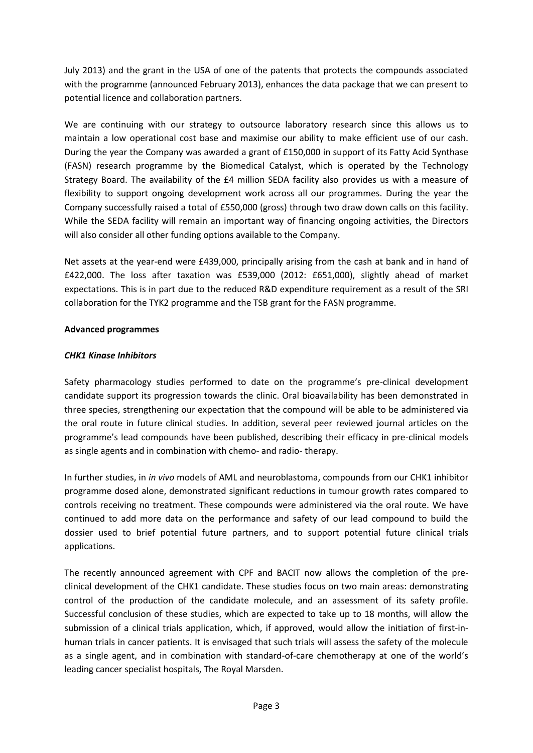July 2013) and the grant in the USA of one of the patents that protects the compounds associated with the programme (announced February 2013), enhances the data package that we can present to potential licence and collaboration partners.

We are continuing with our strategy to outsource laboratory research since this allows us to maintain a low operational cost base and maximise our ability to make efficient use of our cash. During the year the Company was awarded a grant of £150,000 in support of its Fatty Acid Synthase (FASN) research programme by the Biomedical Catalyst, which is operated by the Technology Strategy Board. The availability of the £4 million SEDA facility also provides us with a measure of flexibility to support ongoing development work across all our programmes. During the year the Company successfully raised a total of £550,000 (gross) through two draw down calls on this facility. While the SEDA facility will remain an important way of financing ongoing activities, the Directors will also consider all other funding options available to the Company.

Net assets at the year-end were £439,000, principally arising from the cash at bank and in hand of £422,000. The loss after taxation was £539,000 (2012: £651,000), slightly ahead of market expectations. This is in part due to the reduced R&D expenditure requirement as a result of the SRI collaboration for the TYK2 programme and the TSB grant for the FASN programme.

### **Advanced programmes**

### *CHK1 Kinase Inhibitors*

Safety pharmacology studies performed to date on the programme's pre-clinical development candidate support its progression towards the clinic. Oral bioavailability has been demonstrated in three species, strengthening our expectation that the compound will be able to be administered via the oral route in future clinical studies. In addition, several peer reviewed journal articles on the programme's lead compounds have been published, describing their efficacy in pre-clinical models as single agents and in combination with chemo- and radio- therapy.

In further studies, in *in vivo* models of AML and neuroblastoma, compounds from our CHK1 inhibitor programme dosed alone, demonstrated significant reductions in tumour growth rates compared to controls receiving no treatment. These compounds were administered via the oral route. We have continued to add more data on the performance and safety of our lead compound to build the dossier used to brief potential future partners, and to support potential future clinical trials applications.

The recently announced agreement with CPF and BACIT now allows the completion of the preclinical development of the CHK1 candidate. These studies focus on two main areas: demonstrating control of the production of the candidate molecule, and an assessment of its safety profile. Successful conclusion of these studies, which are expected to take up to 18 months, will allow the submission of a clinical trials application, which, if approved, would allow the initiation of first-inhuman trials in cancer patients. It is envisaged that such trials will assess the safety of the molecule as a single agent, and in combination with standard-of-care chemotherapy at one of the world's leading cancer specialist hospitals, The Royal Marsden.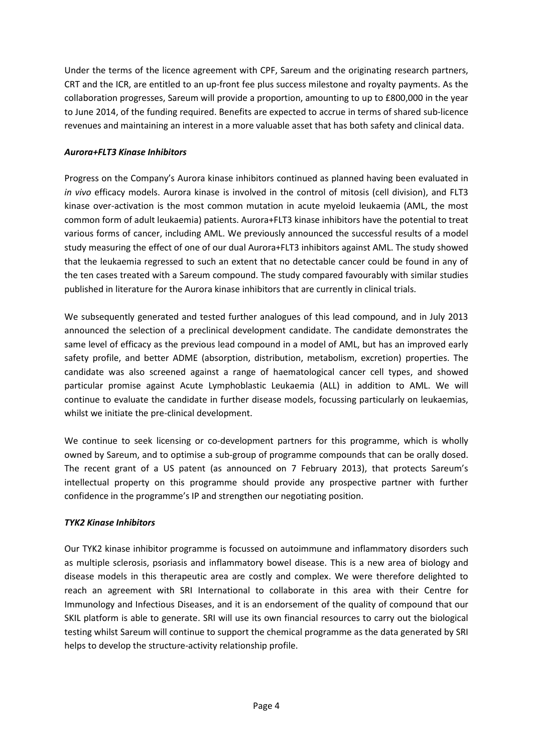Under the terms of the licence agreement with CPF, Sareum and the originating research partners, CRT and the ICR, are entitled to an up-front fee plus success milestone and royalty payments. As the collaboration progresses, Sareum will provide a proportion, amounting to up to £800,000 in the year to June 2014, of the funding required. Benefits are expected to accrue in terms of shared sub-licence revenues and maintaining an interest in a more valuable asset that has both safety and clinical data.

## *Aurora+FLT3 Kinase Inhibitors*

Progress on the Company's Aurora kinase inhibitors continued as planned having been evaluated in *in vivo* efficacy models. Aurora kinase is involved in the control of mitosis (cell division), and FLT3 kinase over-activation is the most common mutation in acute myeloid leukaemia (AML, the most common form of adult leukaemia) patients. Aurora+FLT3 kinase inhibitors have the potential to treat various forms of cancer, including AML. We previously announced the successful results of a model study measuring the effect of one of our dual Aurora+FLT3 inhibitors against AML. The study showed that the leukaemia regressed to such an extent that no detectable cancer could be found in any of the ten cases treated with a Sareum compound. The study compared favourably with similar studies published in literature for the Aurora kinase inhibitors that are currently in clinical trials.

We subsequently generated and tested further analogues of this lead compound, and in July 2013 announced the selection of a preclinical development candidate. The candidate demonstrates the same level of efficacy as the previous lead compound in a model of AML, but has an improved early safety profile, and better ADME (absorption, distribution, metabolism, excretion) properties. The candidate was also screened against a range of haematological cancer cell types, and showed particular promise against Acute Lymphoblastic Leukaemia (ALL) in addition to AML. We will continue to evaluate the candidate in further disease models, focussing particularly on leukaemias, whilst we initiate the pre-clinical development.

We continue to seek licensing or co-development partners for this programme, which is wholly owned by Sareum, and to optimise a sub-group of programme compounds that can be orally dosed. The recent grant of a US patent (as announced on 7 February 2013), that protects Sareum's intellectual property on this programme should provide any prospective partner with further confidence in the programme's IP and strengthen our negotiating position.

### *TYK2 Kinase Inhibitors*

Our TYK2 kinase inhibitor programme is focussed on autoimmune and inflammatory disorders such as multiple sclerosis, psoriasis and inflammatory bowel disease. This is a new area of biology and disease models in this therapeutic area are costly and complex. We were therefore delighted to reach an agreement with SRI International to collaborate in this area with their Centre for Immunology and Infectious Diseases, and it is an endorsement of the quality of compound that our SKIL platform is able to generate. SRI will use its own financial resources to carry out the biological testing whilst Sareum will continue to support the chemical programme as the data generated by SRI helps to develop the structure-activity relationship profile.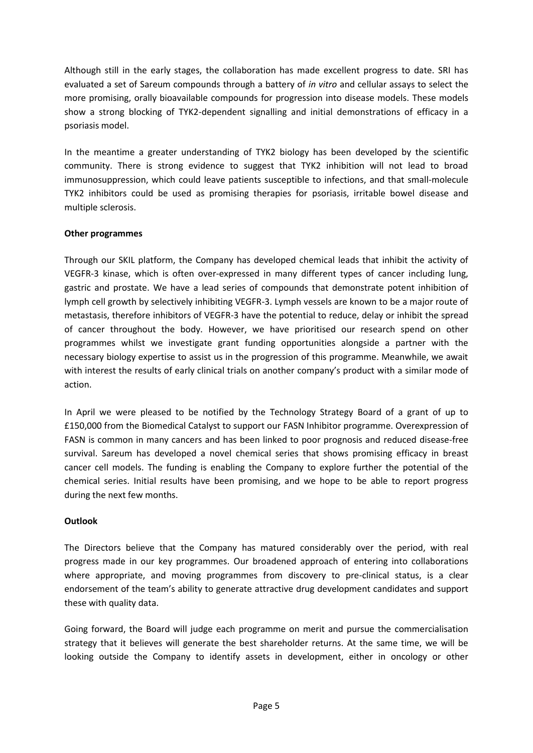Although still in the early stages, the collaboration has made excellent progress to date. SRI has evaluated a set of Sareum compounds through a battery of *in vitro* and cellular assays to select the more promising, orally bioavailable compounds for progression into disease models. These models show a strong blocking of TYK2-dependent signalling and initial demonstrations of efficacy in a psoriasis model.

In the meantime a greater understanding of TYK2 biology has been developed by the scientific community. There is strong evidence to suggest that TYK2 inhibition will not lead to broad immunosuppression, which could leave patients susceptible to infections, and that small-molecule TYK2 inhibitors could be used as promising therapies for psoriasis, irritable bowel disease and multiple sclerosis.

## **Other programmes**

Through our SKIL platform, the Company has developed chemical leads that inhibit the activity of VEGFR-3 kinase, which is often over-expressed in many different types of cancer including lung, gastric and prostate. We have a lead series of compounds that demonstrate potent inhibition of lymph cell growth by selectively inhibiting VEGFR-3. Lymph vessels are known to be a major route of metastasis, therefore inhibitors of VEGFR-3 have the potential to reduce, delay or inhibit the spread of cancer throughout the body. However, we have prioritised our research spend on other programmes whilst we investigate grant funding opportunities alongside a partner with the necessary biology expertise to assist us in the progression of this programme. Meanwhile, we await with interest the results of early clinical trials on another company's product with a similar mode of action.

In April we were pleased to be notified by the Technology Strategy Board of a grant of up to £150,000 from the Biomedical Catalyst to support our FASN Inhibitor programme. Overexpression of FASN is common in many cancers and has been linked to poor prognosis and reduced disease-free survival. Sareum has developed a novel chemical series that shows promising efficacy in breast cancer cell models. The funding is enabling the Company to explore further the potential of the chemical series. Initial results have been promising, and we hope to be able to report progress during the next few months.

### **Outlook**

The Directors believe that the Company has matured considerably over the period, with real progress made in our key programmes. Our broadened approach of entering into collaborations where appropriate, and moving programmes from discovery to pre-clinical status, is a clear endorsement of the team's ability to generate attractive drug development candidates and support these with quality data.

Going forward, the Board will judge each programme on merit and pursue the commercialisation strategy that it believes will generate the best shareholder returns. At the same time, we will be looking outside the Company to identify assets in development, either in oncology or other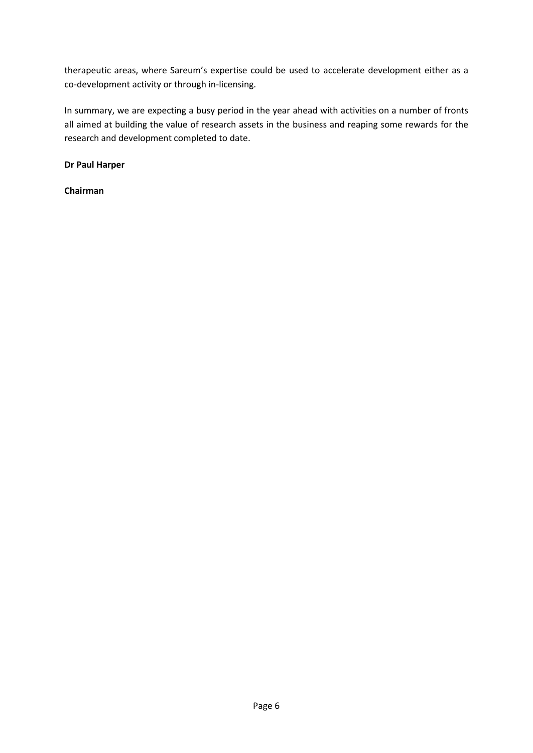therapeutic areas, where Sareum's expertise could be used to accelerate development either as a co-development activity or through in-licensing.

In summary, we are expecting a busy period in the year ahead with activities on a number of fronts all aimed at building the value of research assets in the business and reaping some rewards for the research and development completed to date.

**Dr Paul Harper**

**Chairman**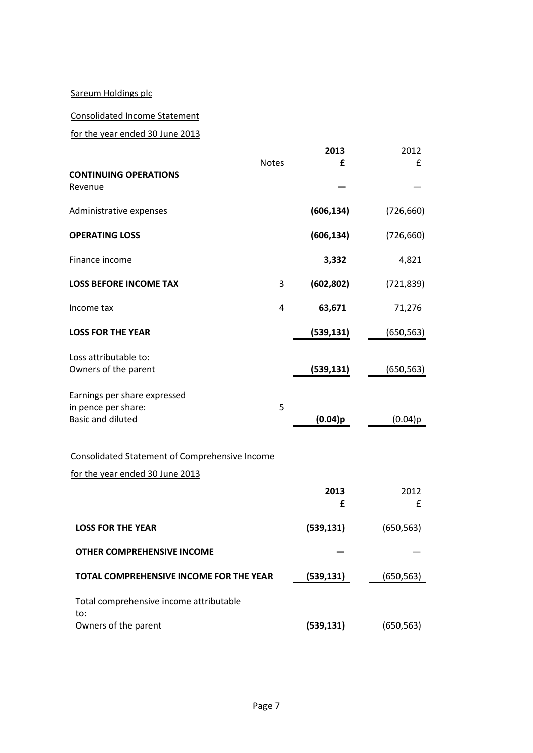## Sareum Holdings plc

### Consolidated Income Statement

for the year ended 30 June 2013

|                                                                                 | <b>Notes</b> | 2013<br>£  | 2012<br>$\mathbf{f}$ |
|---------------------------------------------------------------------------------|--------------|------------|----------------------|
| <b>CONTINUING OPERATIONS</b><br>Revenue                                         |              |            |                      |
| Administrative expenses                                                         |              | (606, 134) | (726, 660)           |
| <b>OPERATING LOSS</b>                                                           |              | (606, 134) | (726, 660)           |
| Finance income                                                                  |              | 3,332      | 4,821                |
| <b>LOSS BEFORE INCOME TAX</b>                                                   | 3            | (602, 802) | (721, 839)           |
| Income tax                                                                      | 4            | 63,671     | 71,276               |
| <b>LOSS FOR THE YEAR</b>                                                        |              | (539, 131) | (650,563)            |
| Loss attributable to:<br>Owners of the parent                                   |              | (539, 131) | (650, 563)           |
| Earnings per share expressed<br>in pence per share:<br><b>Basic and diluted</b> | 5            | $(0.04)$ p | (0.04)p              |
| <b>Consolidated Statement of Comprehensive Income</b>                           |              |            |                      |
| for the year ended 30 June 2013                                                 |              |            |                      |
|                                                                                 |              | 2013<br>£  | 2012<br>£            |
| <b>LOSS FOR THE YEAR</b>                                                        |              | (539, 131) | (650, 563)           |
| OTHER COMPREHENSIVE INCOME                                                      |              |            |                      |
| TOTAL COMPREHENSIVE INCOME FOR THE YEAR                                         |              | (539, 131) | (650, 563)           |
| Total comprehensive income attributable                                         |              |            |                      |
| to:<br>Owners of the parent                                                     |              | (539, 131) | (650, 563)           |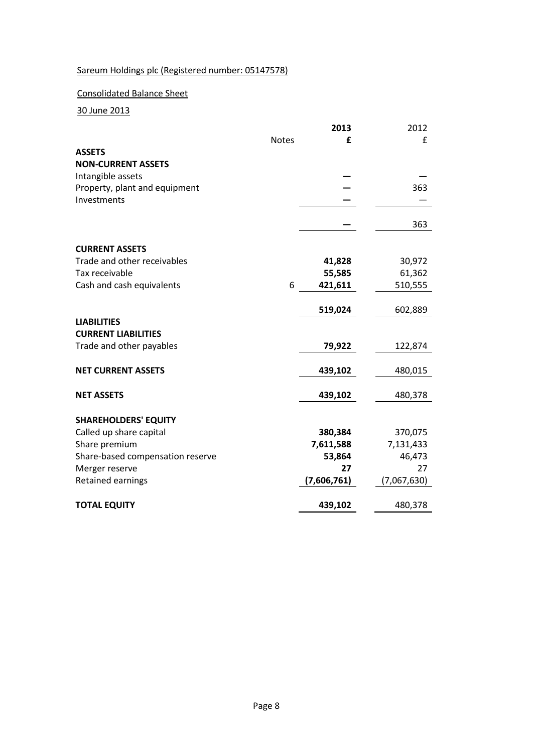## Sareum Holdings plc (Registered number: 05147578)

## Consolidated Balance Sheet

30 June 2013

|                                                    |              | 2013         | 2012         |
|----------------------------------------------------|--------------|--------------|--------------|
|                                                    | <b>Notes</b> | £            | f            |
| <b>ASSETS</b>                                      |              |              |              |
| <b>NON-CURRENT ASSETS</b>                          |              |              |              |
| Intangible assets                                  |              |              |              |
| Property, plant and equipment                      |              |              | 363          |
| Investments                                        |              |              |              |
|                                                    |              |              | 363          |
| <b>CURRENT ASSETS</b>                              |              |              |              |
| Trade and other receivables                        |              | 41,828       | 30,972       |
| Tax receivable                                     |              | 55,585       | 61,362       |
| Cash and cash equivalents                          | 6            | 421,611      | 510,555      |
|                                                    |              |              |              |
|                                                    |              | 519,024      | 602,889      |
| <b>LIABILITIES</b>                                 |              |              |              |
| <b>CURRENT LIABILITIES</b>                         |              |              |              |
| Trade and other payables                           |              | 79,922       | 122,874      |
| <b>NET CURRENT ASSETS</b>                          |              | 439,102      | 480,015      |
| <b>NET ASSETS</b>                                  |              | 439,102      | 480,378      |
|                                                    |              |              |              |
| <b>SHAREHOLDERS' EQUITY</b>                        |              |              |              |
| Called up share capital                            |              | 380,384      | 370,075      |
| Share premium                                      |              | 7,611,588    | 7,131,433    |
| Share-based compensation reserve<br>Merger reserve |              | 53,864<br>27 | 46,473<br>27 |
| Retained earnings                                  |              | (7,606,761)  | (7,067,630)  |
|                                                    |              |              |              |
| <b>TOTAL EQUITY</b>                                |              | 439,102      | 480,378      |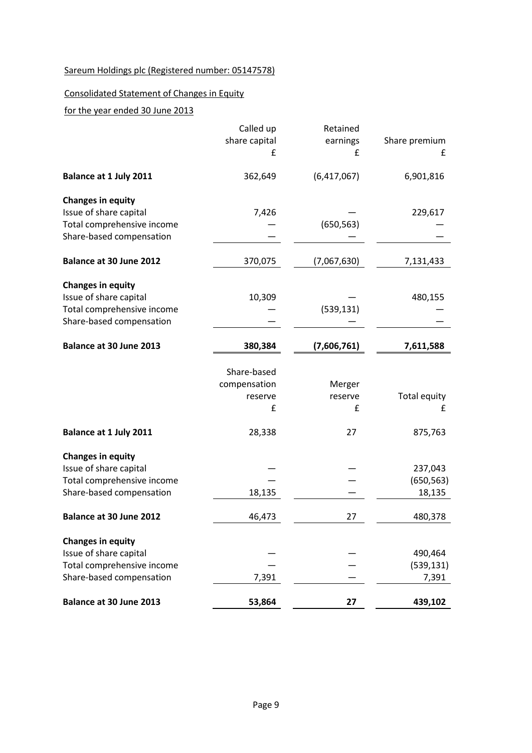# Sareum Holdings plc (Registered number: 05147578)

## Consolidated Statement of Changes in Equity

## for the year ended 30 June 2013

|                                                                                                              | Called up<br>share capital<br>£                       | Retained<br>earnings<br>£    | Share premium<br>£              |
|--------------------------------------------------------------------------------------------------------------|-------------------------------------------------------|------------------------------|---------------------------------|
| Balance at 1 July 2011                                                                                       | 362,649                                               | (6,417,067)                  | 6,901,816                       |
| <b>Changes in equity</b><br>Issue of share capital<br>Total comprehensive income<br>Share-based compensation | 7,426                                                 | (650, 563)                   | 229,617                         |
| Balance at 30 June 2012                                                                                      | 370,075                                               | (7,067,630)                  | 7,131,433                       |
| <b>Changes in equity</b><br>Issue of share capital<br>Total comprehensive income<br>Share-based compensation | 10,309                                                | (539, 131)                   | 480,155                         |
| Balance at 30 June 2013                                                                                      | 380,384                                               | (7,606,761)                  | 7,611,588                       |
| Balance at 1 July 2011                                                                                       | Share-based<br>compensation<br>reserve<br>£<br>28,338 | Merger<br>reserve<br>£<br>27 | Total equity<br>£<br>875,763    |
| <b>Changes in equity</b><br>Issue of share capital<br>Total comprehensive income<br>Share-based compensation | 18,135                                                |                              | 237,043<br>(650, 563)<br>18,135 |
| Balance at 30 June 2012                                                                                      | 46,473                                                | 27                           | 480,378                         |
| <b>Changes in equity</b><br>Issue of share capital<br>Total comprehensive income<br>Share-based compensation | 7,391                                                 |                              | 490,464<br>(539, 131)<br>7,391  |
| Balance at 30 June 2013                                                                                      | 53,864                                                | 27                           | 439,102                         |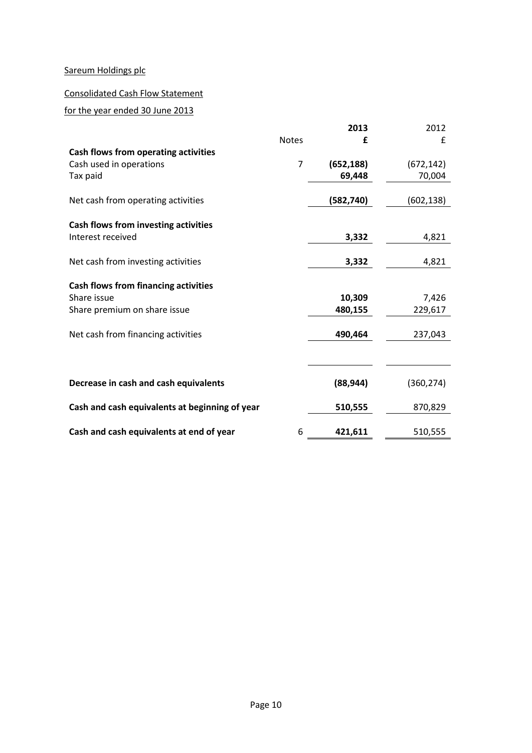## Sareum Holdings plc

## Consolidated Cash Flow Statement

## for the year ended 30 June 2013

|                                                |                | 2013       | 2012       |
|------------------------------------------------|----------------|------------|------------|
|                                                | <b>Notes</b>   | £          | £          |
| Cash flows from operating activities           |                |            |            |
| Cash used in operations                        | $\overline{7}$ | (652, 188) | (672, 142) |
| Tax paid                                       |                | 69,448     | 70,004     |
|                                                |                |            |            |
| Net cash from operating activities             |                | (582, 740) | (602, 138) |
|                                                |                |            |            |
| Cash flows from investing activities           |                |            |            |
| Interest received                              |                | 3,332      | 4,821      |
|                                                |                |            |            |
| Net cash from investing activities             |                | 3,332      | 4,821      |
|                                                |                |            |            |
| <b>Cash flows from financing activities</b>    |                |            |            |
| Share issue                                    |                | 10,309     | 7,426      |
| Share premium on share issue                   |                | 480,155    | 229,617    |
|                                                |                |            |            |
| Net cash from financing activities             |                | 490,464    | 237,043    |
|                                                |                |            |            |
|                                                |                |            |            |
|                                                |                |            |            |
| Decrease in cash and cash equivalents          |                | (88, 944)  | (360, 274) |
|                                                |                |            |            |
| Cash and cash equivalents at beginning of year |                | 510,555    | 870,829    |
|                                                |                |            |            |
| Cash and cash equivalents at end of year       | 6              | 421,611    | 510,555    |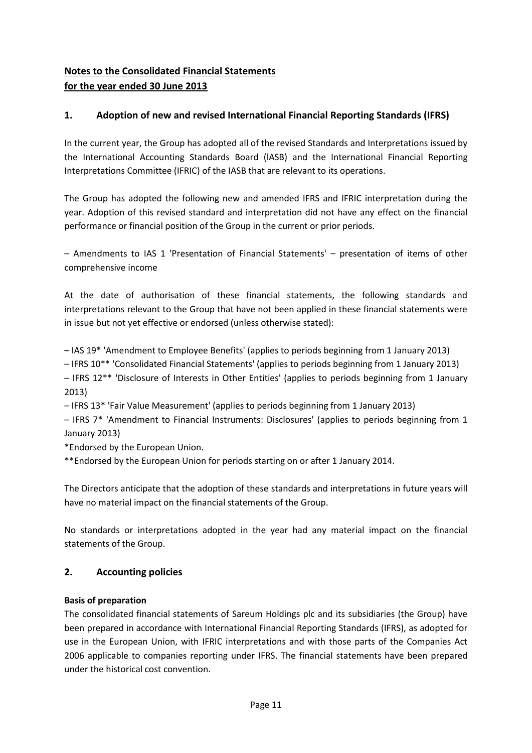# **Notes to the Consolidated Financial Statements for the year ended 30 June 2013**

## **1. Adoption of new and revised International Financial Reporting Standards (IFRS)**

In the current year, the Group has adopted all of the revised Standards and Interpretations issued by the International Accounting Standards Board (lASB) and the International Financial Reporting Interpretations Committee (IFRIC) of the IASB that are relevant to its operations.

The Group has adopted the following new and amended IFRS and IFRIC interpretation during the year. Adoption of this revised standard and interpretation did not have any effect on the financial performance or financial position of the Group in the current or prior periods.

– Amendments to IAS 1 'Presentation of Financial Statements' – presentation of items of other comprehensive income

At the date of authorisation of these financial statements, the following standards and interpretations relevant to the Group that have not been applied in these financial statements were in issue but not yet effective or endorsed (unless otherwise stated):

– IAS 19\* 'Amendment to Employee Benefits' (applies to periods beginning from 1 January 2013)

– IFRS 10\*\* 'Consolidated Financial Statements' (applies to periods beginning from 1 January 2013)

– IFRS 12\*\* 'Disclosure of Interests in Other Entities' (applies to periods beginning from 1 January 2013)

– IFRS 13\* 'Fair Value Measurement' (applies to periods beginning from 1 January 2013)

– IFRS 7\* 'Amendment to Financial Instruments: Disclosures' (applies to periods beginning from 1 January 2013)

\*Endorsed by the European Union.

\*\*Endorsed by the European Union for periods starting on or after 1 January 2014.

The Directors anticipate that the adoption of these standards and interpretations in future years will have no material impact on the financial statements of the Group.

No standards or interpretations adopted in the year had any material impact on the financial statements of the Group.

## **2. Accounting policies**

### **Basis of preparation**

The consolidated financial statements of Sareum Holdings plc and its subsidiaries (the Group) have been prepared in accordance with International Financial Reporting Standards (IFRS), as adopted for use in the European Union, with IFRIC interpretations and with those parts of the Companies Act 2006 applicable to companies reporting under IFRS. The financial statements have been prepared under the historical cost convention.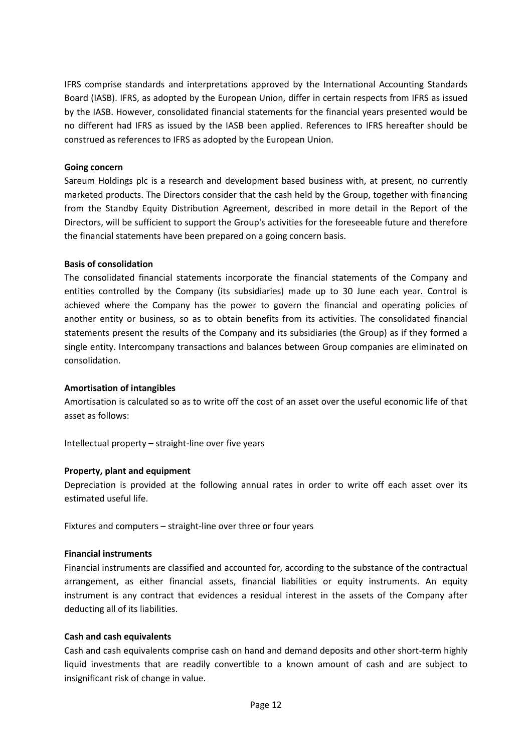IFRS comprise standards and interpretations approved by the International Accounting Standards Board (IASB). IFRS, as adopted by the European Union, differ in certain respects from IFRS as issued by the IASB. However, consolidated financial statements for the financial years presented would be no different had IFRS as issued by the IASB been applied. References to IFRS hereafter should be construed as references to IFRS as adopted by the European Union.

### **Going concern**

Sareum Holdings plc is a research and development based business with, at present, no currently marketed products. The Directors consider that the cash held by the Group, together with financing from the Standby Equity Distribution Agreement, described in more detail in the Report of the Directors, will be sufficient to support the Group's activities for the foreseeable future and therefore the financial statements have been prepared on a going concern basis.

#### **Basis of consolidation**

The consolidated financial statements incorporate the financial statements of the Company and entities controlled by the Company (its subsidiaries) made up to 30 June each year. Control is achieved where the Company has the power to govern the financial and operating policies of another entity or business, so as to obtain benefits from its activities. The consolidated financial statements present the results of the Company and its subsidiaries (the Group) as if they formed a single entity. Intercompany transactions and balances between Group companies are eliminated on consolidation.

#### **Amortisation of intangibles**

Amortisation is calculated so as to write off the cost of an asset over the useful economic life of that asset as follows:

Intellectual property – straight-line over five years

#### **Property, plant and equipment**

Depreciation is provided at the following annual rates in order to write off each asset over its estimated useful life.

Fixtures and computers – straight-line over three or four years

#### **Financial instruments**

Financial instruments are classified and accounted for, according to the substance of the contractual arrangement, as either financial assets, financial liabilities or equity instruments. An equity instrument is any contract that evidences a residual interest in the assets of the Company after deducting all of its liabilities.

#### **Cash and cash equivalents**

Cash and cash equivalents comprise cash on hand and demand deposits and other short-term highly liquid investments that are readily convertible to a known amount of cash and are subject to insignificant risk of change in value.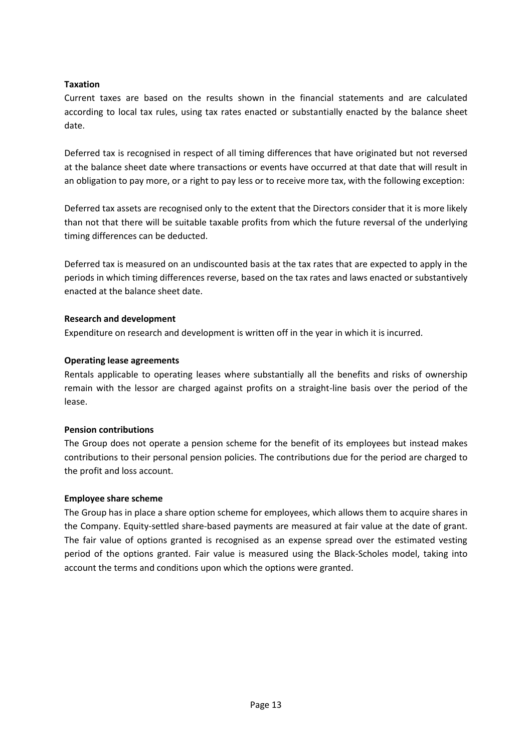### **Taxation**

Current taxes are based on the results shown in the financial statements and are calculated according to local tax rules, using tax rates enacted or substantially enacted by the balance sheet date.

Deferred tax is recognised in respect of all timing differences that have originated but not reversed at the balance sheet date where transactions or events have occurred at that date that will result in an obligation to pay more, or a right to pay less or to receive more tax, with the following exception:

Deferred tax assets are recognised only to the extent that the Directors consider that it is more likely than not that there will be suitable taxable profits from which the future reversal of the underlying timing differences can be deducted.

Deferred tax is measured on an undiscounted basis at the tax rates that are expected to apply in the periods in which timing differences reverse, based on the tax rates and laws enacted or substantively enacted at the balance sheet date.

### **Research and development**

Expenditure on research and development is written off in the year in which it is incurred.

### **Operating lease agreements**

Rentals applicable to operating leases where substantially all the benefits and risks of ownership remain with the lessor are charged against profits on a straight-line basis over the period of the lease.

### **Pension contributions**

The Group does not operate a pension scheme for the benefit of its employees but instead makes contributions to their personal pension policies. The contributions due for the period are charged to the profit and loss account.

#### **Employee share scheme**

The Group has in place a share option scheme for employees, which allows them to acquire shares in the Company. Equity-settled share-based payments are measured at fair value at the date of grant. The fair value of options granted is recognised as an expense spread over the estimated vesting period of the options granted. Fair value is measured using the Black-Scholes model, taking into account the terms and conditions upon which the options were granted.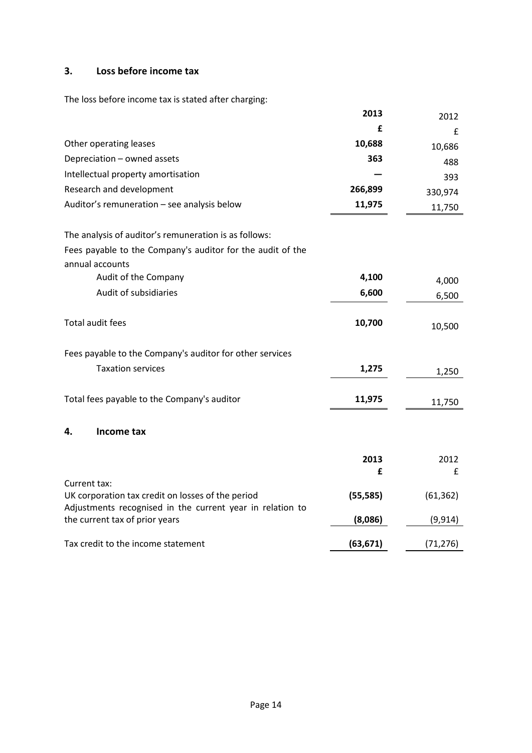## **3. Loss before income tax**

The loss before income tax is stated after charging:

|                                                                                                                                | 2013      | 2012      |
|--------------------------------------------------------------------------------------------------------------------------------|-----------|-----------|
|                                                                                                                                | £         | £         |
| Other operating leases                                                                                                         | 10,688    | 10,686    |
| Depreciation - owned assets                                                                                                    | 363       | 488       |
| Intellectual property amortisation                                                                                             |           | 393       |
| Research and development                                                                                                       | 266,899   | 330,974   |
| Auditor's remuneration - see analysis below                                                                                    | 11,975    | 11,750    |
|                                                                                                                                |           |           |
| The analysis of auditor's remuneration is as follows:                                                                          |           |           |
| Fees payable to the Company's auditor for the audit of the<br>annual accounts                                                  |           |           |
| Audit of the Company                                                                                                           | 4,100     | 4,000     |
| Audit of subsidiaries                                                                                                          | 6,600     | 6,500     |
| Total audit fees                                                                                                               | 10,700    | 10,500    |
| Fees payable to the Company's auditor for other services                                                                       |           |           |
| <b>Taxation services</b>                                                                                                       | 1,275     | 1,250     |
| Total fees payable to the Company's auditor                                                                                    | 11,975    | 11,750    |
| 4.<br>Income tax                                                                                                               |           |           |
|                                                                                                                                | 2013      | 2012      |
|                                                                                                                                | £         | £         |
| Current tax:<br>UK corporation tax credit on losses of the period<br>Adjustments recognised in the current year in relation to | (55, 585) | (61, 362) |
| the current tax of prior years                                                                                                 | (8,086)   | (9, 914)  |
| Tax credit to the income statement                                                                                             | (63, 671) | (71, 276) |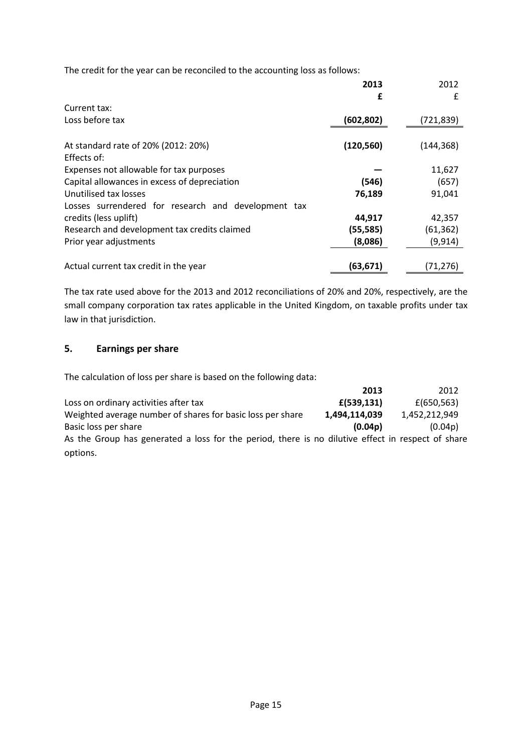The credit for the year can be reconciled to the accounting loss as follows:

|                                                     | 2013       | 2012       |
|-----------------------------------------------------|------------|------------|
| Current tax:                                        | £          | £          |
|                                                     |            |            |
| Loss before tax                                     | (602,802)  | (721,839)  |
| At standard rate of 20% (2012: 20%)<br>Effects of:  | (120, 560) | (144, 368) |
| Expenses not allowable for tax purposes             |            | 11,627     |
| Capital allowances in excess of depreciation        | (546)      | (657)      |
| Unutilised tax losses                               | 76,189     | 91,041     |
| Losses surrendered for research and development tax |            |            |
| credits (less uplift)                               | 44,917     | 42,357     |
| Research and development tax credits claimed        | (55,585)   | (61, 362)  |
| Prior year adjustments                              | (8,086)    | (9, 914)   |
| Actual current tax credit in the year               | (63, 671)  | (71,276)   |

The tax rate used above for the 2013 and 2012 reconciliations of 20% and 20%, respectively, are the small company corporation tax rates applicable in the United Kingdom, on taxable profits under tax law in that jurisdiction.

## **5. Earnings per share**

The calculation of loss per share is based on the following data:

|                                                                                                   | 2013          | 2012          |
|---------------------------------------------------------------------------------------------------|---------------|---------------|
| Loss on ordinary activities after tax                                                             | f(539, 131)   | £(650, 563)   |
| Weighted average number of shares for basic loss per share                                        | 1,494,114,039 | 1,452,212,949 |
| Basic loss per share                                                                              | (0.04p)       | (0.04p)       |
| As the Group has generated a loss for the period, there is no dilutive effect in respect of share |               |               |
| options.                                                                                          |               |               |